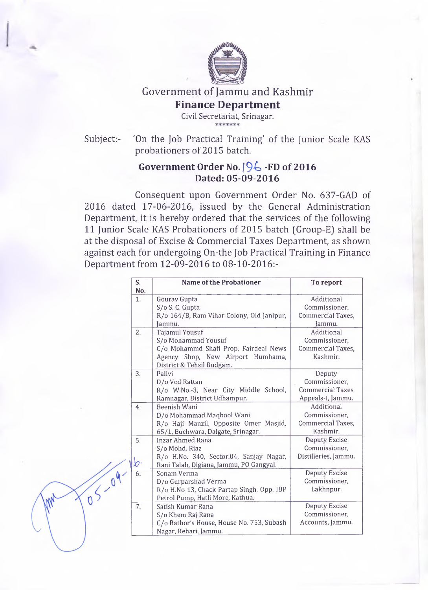

Government of Jammu and Kashmir

**Finance Department**

Civil Secretariat, Srinagar.

Subject:- 'On the Job Practical Training' of the Junior Scale KAS probationers of 2015 batch.

## Government Order No.  $\sqrt{96}$  -FD of 2016 **Dated: 05-09-2016**

Consequent upon Government Order No. 637-GAD of 2016 dated 17-06-2016, issued by the General Administration Department, it is hereby ordered that the services of the following 11 Junior Scale KAS Probationers of 2015 batch (Group-E) shall be at the disposal of Excise & Commercial Taxes Department, as shown against each for undergoing On-the Job Practical Training in Finance Department from 12-09-2016 to 08-10-2016:-

|                 | $\overline{\mathbf{S}}$ .<br>No. | <b>Name of the Probationer</b>                                                                                                                          | To report                                                               |
|-----------------|----------------------------------|---------------------------------------------------------------------------------------------------------------------------------------------------------|-------------------------------------------------------------------------|
|                 | 1.                               | <b>Gourav Gupta</b><br>S/o S. C. Gupta<br>R/o 164/B, Ram Vihar Colony, Old Janipur,<br>Jammu.                                                           | Additional<br>Commissioner,<br>Commercial Taxes,<br>Jammu.              |
|                 | 2.                               | <b>Tajamul Yousuf</b><br>S/o Mohammad Yousuf<br>C/o Mohammd Shafi Prop. Fairdeal News<br>Agency Shop, New Airport Humhama,<br>District & Tehsil Budgam. | Additional<br>Commissioner,<br>Commercial Taxes,<br>Kashmir.            |
|                 | 3.                               | Pallvi<br>D/o Ved Rattan<br>R/o W.No.-3, Near City Middle School,<br>Ramnagar, District Udhampur.                                                       | Deputy<br>Commissioner,<br><b>Commercial Taxes</b><br>Appeals-I, Jammu. |
|                 | 4 <sub>1</sub>                   | Beenish Wani<br>D/o Mohammad Maqbool Wani<br>R/o Haji Manzil, Opposite Omer Masjid,<br>65/1, Buchwara, Dalgate, Srinagar.                               | Additional<br>Commissioner,<br><b>Commercial Taxes,</b><br>Kashmir.     |
|                 | 5.<br>O۰                         | <b>Inzar Ahmed Rana</b><br>S/o Mohd. Riaz<br>R/o H.No. 340, Sector.04, Sanjay Nagar,<br>Rani Talab, Digiana, Jammu, PO Gangyal.                         | <b>Deputy Excise</b><br>Commissioner,<br>Distilleries, Jammu.           |
| $\sqrt{10^{9}}$ |                                  | Sonam Verma<br>D/o Gurparshad Verma<br>R/o H.No 13, Chack Partap Singh, Opp. IBP<br>Petrol Pump, Hatli More, Kathua.                                    | <b>Deputy Excise</b><br>Commissioner,<br>Lakhnpur.                      |
|                 | $\overline{7}$ .                 | Satish Kumar Rana<br>S/o Khem Raj Rana<br>C/o Rathor's House, House No. 753, Subash<br>Nagar, Rehari, Jammu.                                            | <b>Deputy Excise</b><br>Commissioner,<br>Accounts, Jammu.               |